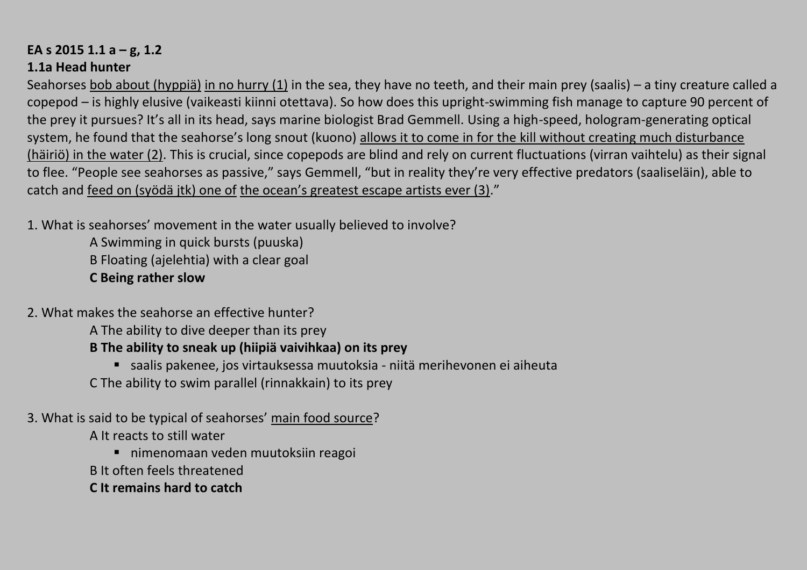#### **EA s 2015 1.1 a – g, 1.2 1.1a Head hunter**

Seahorses bob about (hyppiä) in no hurry (1) in the sea, they have no teeth, and their main prey (saalis) – a tiny creature called a copepod – is highly elusive (vaikeasti kiinni otettava). So how does this upright-swimming fish manage to capture 90 percent of the prey it pursues? It's all in its head, says marine biologist Brad Gemmell. Using a high-speed, hologram-generating optical system, he found that the seahorse's long snout (kuono) allows it to come in for the kill without creating much disturbance (häiriö) in the water (2). This is crucial, since copepods are blind and rely on current fluctuations (virran vaihtelu) as their signal to flee. "People see seahorses as passive," says Gemmell, "but in reality they're very effective predators (saaliseläin), able to catch and feed on (syödä jtk) one of the ocean's greatest escape artists ever (3)."

1. What is seahorses' movement in the water usually believed to involve?

A Swimming in quick bursts (puuska) B Floating (ajelehtia) with a clear goal **C Being rather slow** 

- 2. What makes the seahorse an effective hunter?
	- A The ability to dive deeper than its prey

# **B The ability to sneak up (hiipiä vaivihkaa) on its prey**

- saalis pakenee, jos virtauksessa muutoksia niitä merihevonen ei aiheuta
- C The ability to swim parallel (rinnakkain) to its prey

# 3. What is said to be typical of seahorses' main food source?

A It reacts to still water

- nimenomaan veden muutoksiin reagoi
- B It often feels threatened
- **C It remains hard to catch**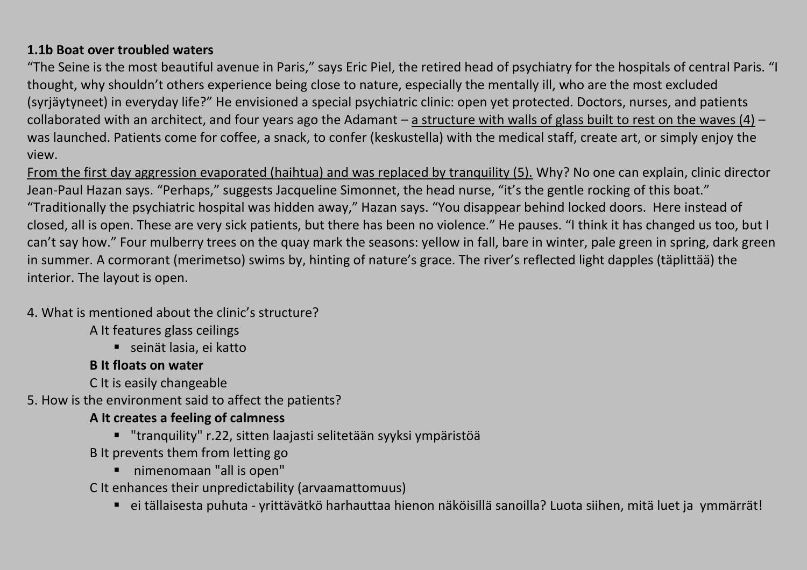#### **1.1b Boat over troubled waters**

"The Seine is the most beautiful avenue in Paris," says Eric Piel, the retired head of psychiatry for the hospitals of central Paris. "I thought, why shouldn't others experience being close to nature, especially the mentally ill, who are the most excluded (syrjäytyneet) in everyday life?" He envisioned a special psychiatric clinic: open yet protected. Doctors, nurses, and patients collaborated with an architect, and four years ago the Adamant – a structure with walls of glass built to rest on the waves (4) – was launched. Patients come for coffee, a snack, to confer (keskustella) with the medical staff, create art, or simply enjoy the view.

From the first day aggression evaporated (haihtua) and was replaced by tranquility (5). Why? No one can explain, clinic director Jean-Paul Hazan says. "Perhaps," suggests Jacqueline Simonnet, the head nurse, "it's the gentle rocking of this boat." "Traditionally the psychiatric hospital was hidden away," Hazan says. "You disappear behind locked doors. Here instead of closed, all is open. These are very sick patients, but there has been no violence." He pauses. "I think it has changed us too, but I can't say how." Four mulberry trees on the quay mark the seasons: yellow in fall, bare in winter, pale green in spring, dark green in summer. A cormorant (merimetso) swims by, hinting of nature's grace. The river's reflected light dapples (täplittää) the interior. The layout is open.

#### 4. What is mentioned about the clinic's structure?

- A It features glass ceilings
	- seinät lasia, ei katto

#### **B It floats on water**

- C It is easily changeable
- 5. How is the environment said to affect the patients?

# **A It creates a feeling of calmness**

- "tranquility" r.22, sitten laajasti selitetään syyksi ympäristöä
- B It prevents them from letting go
	- nimenomaan "all is open"
- C It enhances their unpredictability (arvaamattomuus)
	- ei tällaisesta puhuta yrittävätkö harhauttaa hienon näköisillä sanoilla? Luota siihen, mitä luet ja ymmärrät!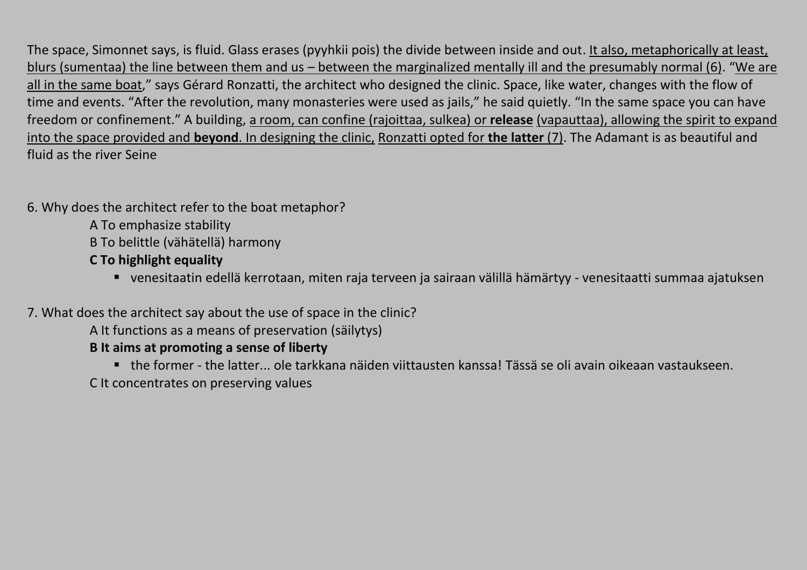The space, Simonnet says, is fluid. Glass erases (pyyhkii pois) the divide between inside and out. It also, metaphorically at least, blurs (sumentaa) the line between them and us – between the marginalized mentally ill and the presumably normal (6). "We are all in the same boat," says Gérard Ronzatti, the architect who designed the clinic. Space, like water, changes with the flow of time and events. "After the revolution, many monasteries were used as jails," he said quietly. "In the same space you can have freedom or confinement." A building, a room, can confine (rajoittaa, sulkea) or **release** (vapauttaa), allowing the spirit to expand into the space provided and **beyond**. In designing the clinic, Ronzatti opted for **the latter** (7). The Adamant is as beautiful and fluid as the river Seine

- 6. Why does the architect refer to the boat metaphor?
	- A To emphasize stability
	- B To belittle (vähätellä) harmony
	- **C To highlight equality**
		- venesitaatin edellä kerrotaan, miten raja terveen ja sairaan välillä hämärtyy venesitaatti summaa ajatuksen
- 7. What does the architect say about the use of space in the clinic?
	- A It functions as a means of preservation (säilytys)
	- **B It aims at promoting a sense of liberty**
		- the former the latter... ole tarkkana näiden viittausten kanssa! Tässä se oli avain oikeaan vastaukseen.
	- C It concentrates on preserving values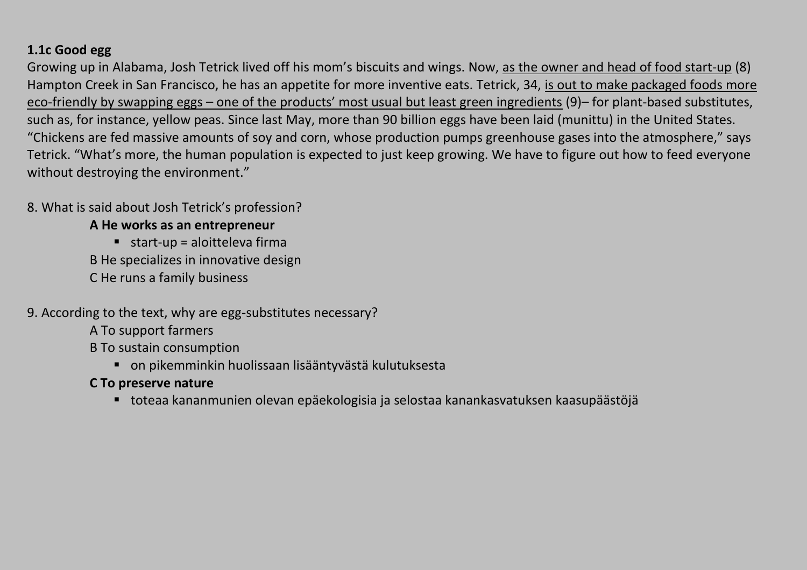## **1.1c Good egg**

Growing up in Alabama, Josh Tetrick lived off his mom's biscuits and wings. Now, as the owner and head of food start-up (8) Hampton Creek in San Francisco, he has an appetite for more inventive eats. Tetrick, 34, is out to make packaged foods more eco-friendly by swapping eggs – one of the products' most usual but least green ingredients (9)– for plant-based substitutes, such as, for instance, yellow peas. Since last May, more than 90 billion eggs have been laid (munittu) in the United States. "Chickens are fed massive amounts of soy and corn, whose production pumps greenhouse gases into the atmosphere," says Tetrick. "What's more, the human population is expected to just keep growing. We have to figure out how to feed everyone without destroying the environment."

## 8. What is said about Josh Tetrick's profession?

#### **A He works as an entrepreneur**

 $\blacksquare$  start-up = aloitteleva firma B He specializes in innovative design C He runs a family business

## 9. According to the text, why are egg-substitutes necessary?

A To support farmers

B To sustain consumption

on pikemminkin huolissaan lisääntyvästä kulutuksesta

#### **C To preserve nature**

toteaa kananmunien olevan epäekologisia ja selostaa kanankasvatuksen kaasupäästöjä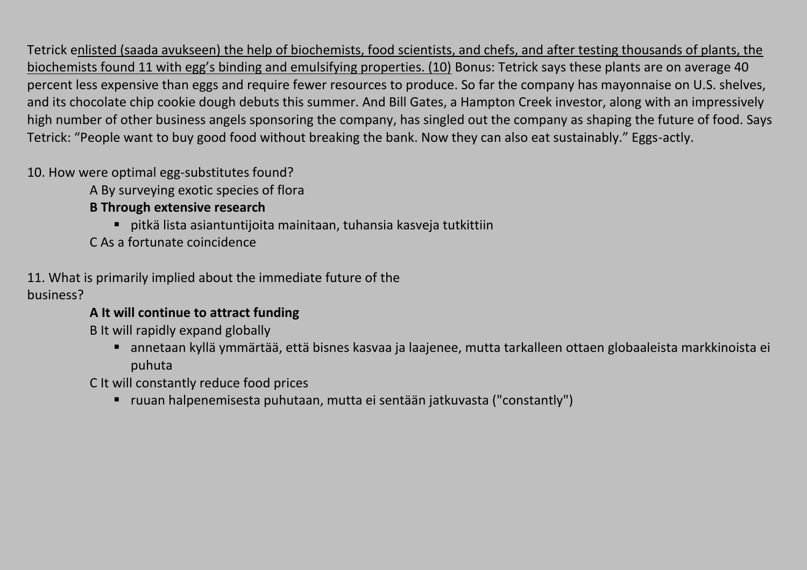Tetrick enlisted (saada avukseen) the help of biochemists, food scientists, and chefs, and after testing thousands of plants, the biochemists found 11 with egg's binding and emulsifying properties. (10) Bonus: Tetrick says these plants are on average 40 percent less expensive than eggs and require fewer resources to produce. So far the company has mayonnaise on U.S. shelves, and its chocolate chip cookie dough debuts this summer. And Bill Gates, a Hampton Creek investor, along with an impressively high number of other business angels sponsoring the company, has singled out the company as shaping the future of food. Says Tetrick: "People want to buy good food without breaking the bank. Now they can also eat sustainably." Eggs-actly.

10. How were optimal egg-substitutes found?

A By surveying exotic species of flora

## **B Through extensive research**

- pitkä lista asiantuntijoita mainitaan, tuhansia kasveja tutkittiin
- C As a fortunate coincidence

## 11. What is primarily implied about the immediate future of the

## business?

## **A It will continue to attract funding**

B It will rapidly expand globally

 annetaan kyllä ymmärtää, että bisnes kasvaa ja laajenee, mutta tarkalleen ottaen globaaleista markkinoista ei puhuta

C It will constantly reduce food prices

ruuan halpenemisesta puhutaan, mutta ei sentään jatkuvasta ("constantly")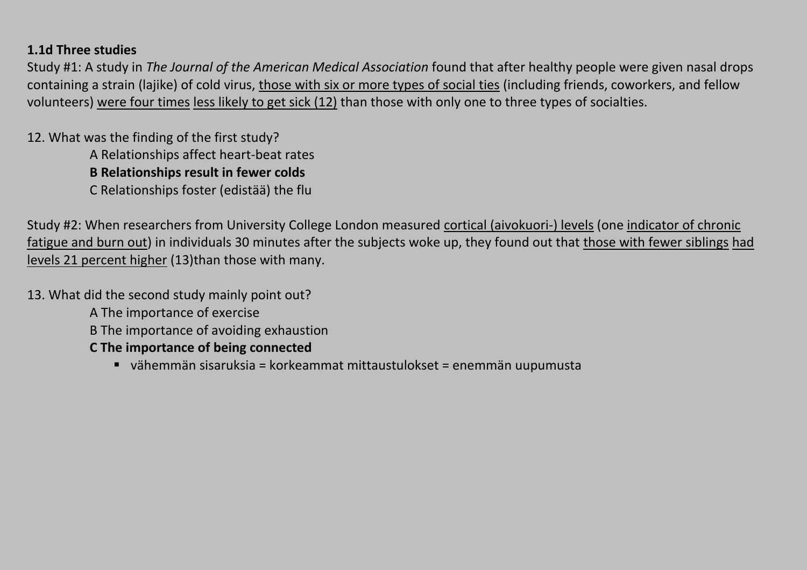#### **1.1d Three studies**

Study #1: A study in *The Journal of the American Medical Association* found that after healthy people were given nasal drops containing a strain (lajike) of cold virus, those with six or more types of social ties (including friends, coworkers, and fellow volunteers) were four times less likely to get sick (12) than those with only one to three types of socialties.

12. What was the finding of the first study? A Relationships affect heart-beat rates **B Relationships result in fewer colds** C Relationships foster (edistää) the flu

Study #2: When researchers from University College London measured cortical (aivokuori-) levels (one indicator of chronic fatigue and burn out) in individuals 30 minutes after the subjects woke up, they found out that those with fewer siblings had levels 21 percent higher (13)than those with many.

13. What did the second study mainly point out?

A The importance of exercise

B The importance of avoiding exhaustion

#### **C The importance of being connected**

vähemmän sisaruksia = korkeammat mittaustulokset = enemmän uupumusta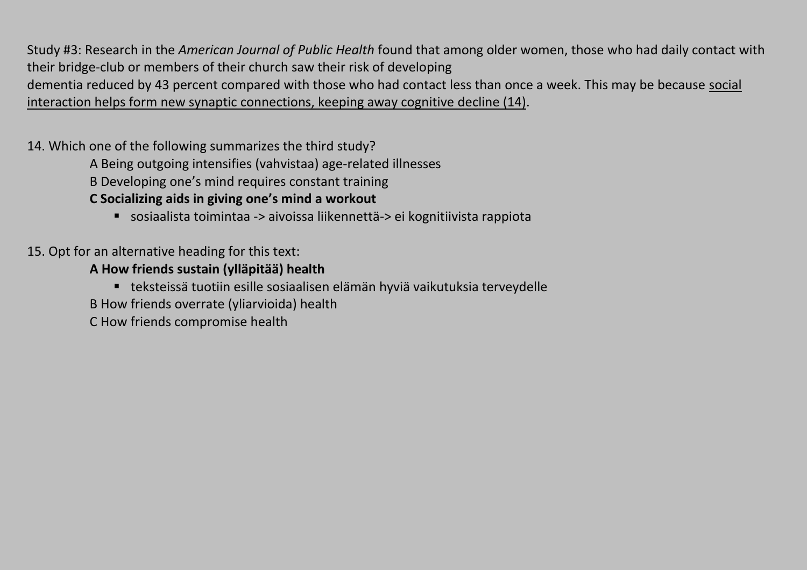Study #3: Research in the *American Journal of Public Health* found that among older women, those who had daily contact with their bridge-club or members of their church saw their risk of developing dementia reduced by 43 percent compared with those who had contact less than once a week. This may be because social interaction helps form new synaptic connections, keeping away cognitive decline (14).

14. Which one of the following summarizes the third study?

A Being outgoing intensifies (vahvistaa) age-related illnesses

B Developing one's mind requires constant training

**C Socializing aids in giving one's mind a workout**

sosiaalista toimintaa -> aivoissa liikennettä-> ei kognitiivista rappiota

15. Opt for an alternative heading for this text:

**A How friends sustain (ylläpitää) health**

teksteissä tuotiin esille sosiaalisen elämän hyviä vaikutuksia terveydelle

B How friends overrate (yliarvioida) health

C How friends compromise health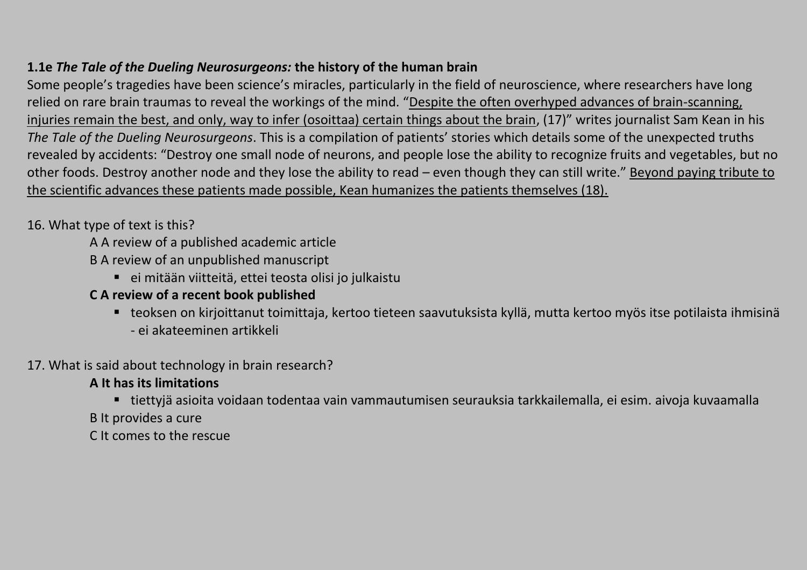## **1.1e** *The Tale of the Dueling Neurosurgeons:* **the history of the human brain**

Some people's tragedies have been science's miracles, particularly in the field of neuroscience, where researchers have long relied on rare brain traumas to reveal the workings of the mind. "Despite the often overhyped advances of brain-scanning, injuries remain the best, and only, way to infer (osoittaa) certain things about the brain, (17)" writes journalist Sam Kean in his *The Tale of the Dueling Neurosurgeons*. This is a compilation of patients' stories which details some of the unexpected truths revealed by accidents: "Destroy one small node of neurons, and people lose the ability to recognize fruits and vegetables, but no other foods. Destroy another node and they lose the ability to read – even though they can still write." Beyond paying tribute to the scientific advances these patients made possible, Kean humanizes the patients themselves (18).

16. What type of text is this?

- A A review of a published academic article
- B A review of an unpublished manuscript
	- ei mitään viitteitä, ettei teosta olisi jo julkaistu
- **C A review of a recent book published**
	- teoksen on kirjoittanut toimittaja, kertoo tieteen saavutuksista kyllä, mutta kertoo myös itse potilaista ihmisinä - ei akateeminen artikkeli
- 17. What is said about technology in brain research?

#### **A It has its limitations**

- tiettyjä asioita voidaan todentaa vain vammautumisen seurauksia tarkkailemalla, ei esim. aivoja kuvaamalla
- B It provides a cure
- C It comes to the rescue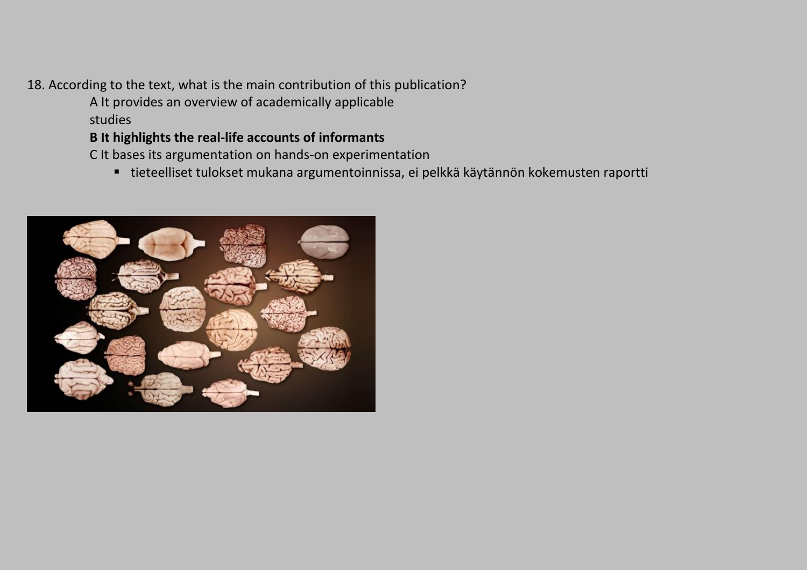## 18. According to the text, what is the main contribution of this publication?

A It provides an overview of academically applicable studies

## **B It highlights the real-life accounts of informants**

C It bases its argumentation on hands-on experimentation

tieteelliset tulokset mukana argumentoinnissa, ei pelkkä käytännön kokemusten raportti

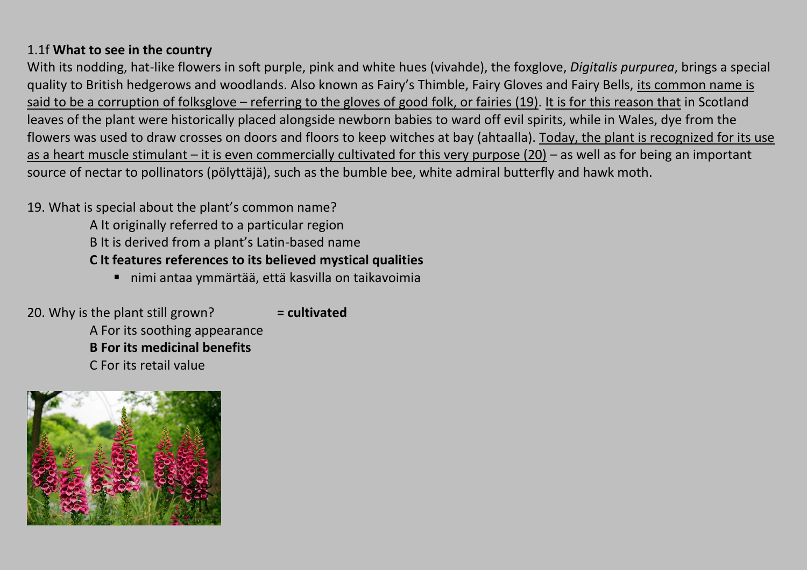#### 1.1f **What to see in the country**

With its nodding, hat-like flowers in soft purple, pink and white hues (vivahde), the foxglove, *Digitalis purpurea*, brings a special quality to British hedgerows and woodlands. Also known as Fairy's Thimble, Fairy Gloves and Fairy Bells, its common name is said to be a corruption of folksglove – referring to the gloves of good folk, or fairies (19). It is for this reason that in Scotland leaves of the plant were historically placed alongside newborn babies to ward off evil spirits, while in Wales, dye from the flowers was used to draw crosses on doors and floors to keep witches at bay (ahtaalla). Today, the plant is recognized for its use as a heart muscle stimulant – it is even commercially cultivated for this very purpose (20) – as well as for being an important source of nectar to pollinators (pölyttäjä), such as the bumble bee, white admiral butterfly and hawk moth.

#### 19. What is special about the plant's common name?

- A It originally referred to a particular region
- B It is derived from a plant's Latin-based name

# **C It features references to its believed mystical qualities**

nimi antaa ymmärtää, että kasvilla on taikavoimia

20. Why is the plant still grown? **= cultivated** A For its soothing appearance **B For its medicinal benefits** C For its retail value

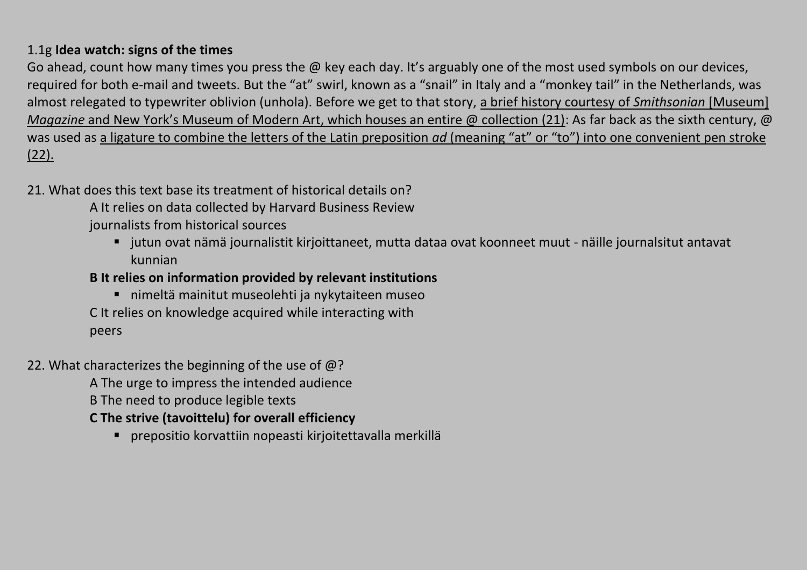## 1.1g **Idea watch: signs of the times**

Go ahead, count how many times you press the @ key each day. It's arguably one of the most used symbols on our devices, required for both e-mail and tweets. But the "at" swirl, known as a "snail" in Italy and a "monkey tail" in the Netherlands, was almost relegated to typewriter oblivion (unhola). Before we get to that story, a brief history courtesy of *Smithsonian* [Museum] *Magazine* and New York's Museum of Modern Art, which houses an entire @ collection (21): As far back as the sixth century, @ was used as a ligature to combine the letters of the Latin preposition *ad* (meaning "at" or "to") into one convenient pen stroke (22).

## 21. What does this text base its treatment of historical details on?

A It relies on data collected by Harvard Business Review journalists from historical sources

 jutun ovat nämä journalistit kirjoittaneet, mutta dataa ovat koonneet muut - näille journalsitut antavat kunnian

# **B It relies on information provided by relevant institutions**

- nimeltä mainitut museolehti ja nykytaiteen museo C It relies on knowledge acquired while interacting with peers
- 22. What characterizes the beginning of the use of  $@?$

A The urge to impress the intended audience

B The need to produce legible texts

# **C The strive (tavoittelu) for overall efficiency**

prepositio korvattiin nopeasti kirjoitettavalla merkillä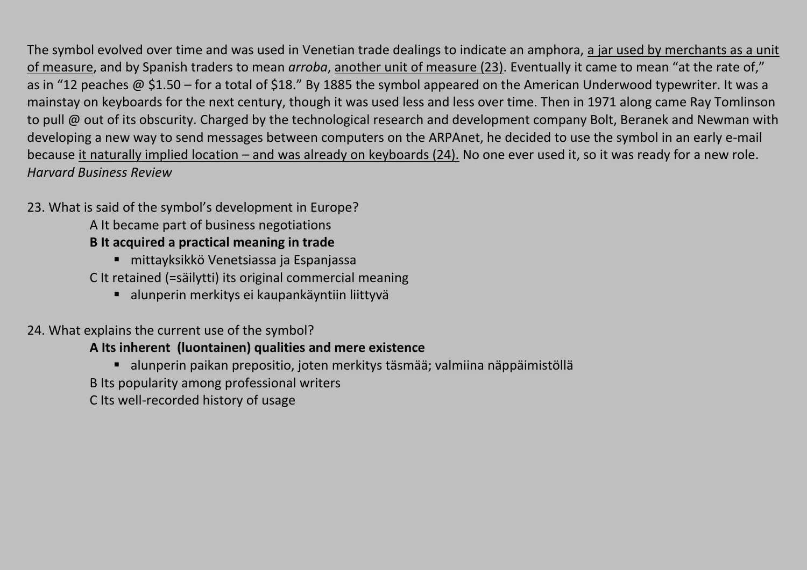The symbol evolved over time and was used in Venetian trade dealings to indicate an amphora, a jar used by merchants as a unit of measure, and by Spanish traders to mean *arroba*, another unit of measure (23). Eventually it came to mean "at the rate of," as in "12 peaches @ \$1.50 – for a total of \$18." By 1885 the symbol appeared on the American Underwood typewriter. It was a mainstay on keyboards for the next century, though it was used less and less over time. Then in 1971 along came Ray Tomlinson to pull @ out of its obscurity. Charged by the technological research and development company Bolt, Beranek and Newman with developing a new way to send messages between computers on the ARPAnet, he decided to use the symbol in an early e-mail because it naturally implied location – and was already on keyboards (24). No one ever used it, so it was ready for a new role. *Harvard Business Review*

## 23. What is said of the symbol's development in Europe?

- A It became part of business negotiations
- **B It acquired a practical meaning in trade**
	- mittayksikkö Venetsiassa ja Espanjassa
- C It retained (=säilytti) its original commercial meaning
	- alunperin merkitys ei kaupankäyntiin liittyvä

# 24. What explains the current use of the symbol?

# **A Its inherent (luontainen) qualities and mere existence**

- alunperin paikan prepositio, joten merkitys täsmää; valmiina näppäimistöllä
- B Its popularity among professional writers
- C Its well-recorded history of usage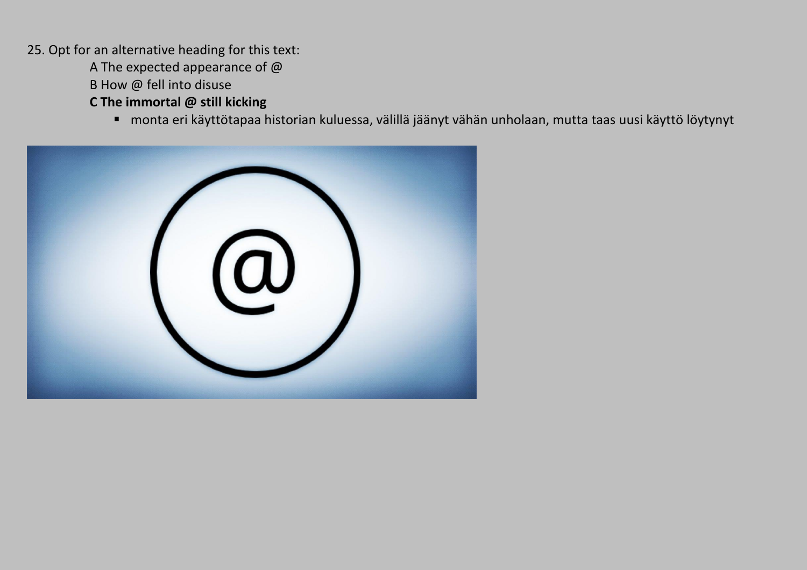25. Opt for an alternative heading for this text:

A The expected appearance of @

B How @ fell into disuse

**C The immortal @ still kicking** 

monta eri käyttötapaa historian kuluessa, välillä jäänyt vähän unholaan, mutta taas uusi käyttö löytynyt

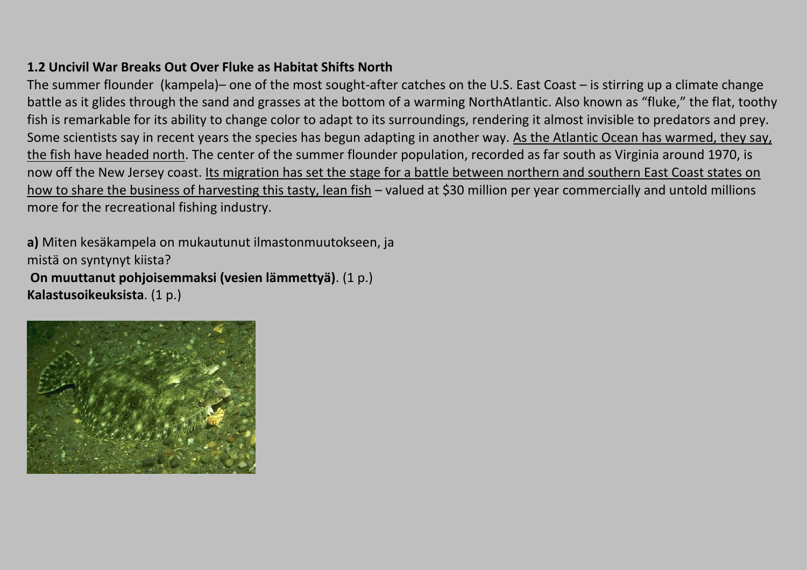## **1.2 Uncivil War Breaks Out Over Fluke as Habitat Shifts North**

The summer flounder (kampela)– one of the most sought-after catches on the U.S. East Coast – is stirring up a climate change battle as it glides through the sand and grasses at the bottom of a warming NorthAtlantic. Also known as "fluke," the flat, toothy fish is remarkable for its ability to change color to adapt to its surroundings, rendering it almost invisible to predators and prey. Some scientists say in recent years the species has begun adapting in another way. As the Atlantic Ocean has warmed, they say, the fish have headed north. The center of the summer flounder population, recorded as far south as Virginia around 1970, is now off the New Jersey coast. Its migration has set the stage for a battle between northern and southern East Coast states on how to share the business of harvesting this tasty, lean fish – valued at \$30 million per year commercially and untold millions more for the recreational fishing industry.

**a)** Miten kesäkampela on mukautunut ilmastonmuutokseen, ja mistä on syntynyt kiista? **On muuttanut pohjoisemmaksi (vesien lämmettyä)**. (1 p.) **Kalastusoikeuksista**. (1 p.)

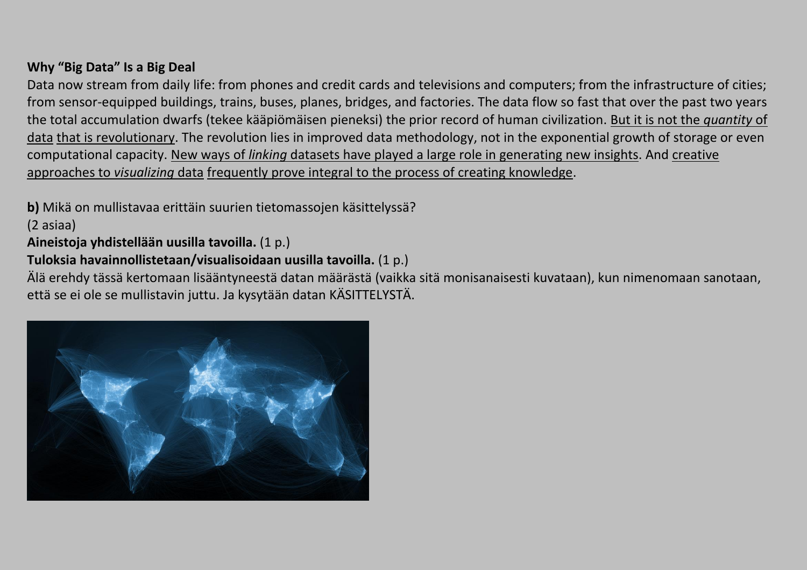## **Why "Big Data" Is a Big Deal**

Data now stream from daily life: from phones and credit cards and televisions and computers; from the infrastructure of cities; from sensor-equipped buildings, trains, buses, planes, bridges, and factories. The data flow so fast that over the past two years the total accumulation dwarfs (tekee kääpiömäisen pieneksi) the prior record of human civilization. But it is not the *quantity* of data that is revolutionary. The revolution lies in improved data methodology, not in the exponential growth of storage or even computational capacity. New ways of *linking* datasets have played a large role in generating new insights. And creative approaches to *visualizing* data frequently prove integral to the process of creating knowledge.

**b)** Mikä on mullistavaa erittäin suurien tietomassojen käsittelyssä?

(2 asiaa)

**Aineistoja yhdistellään uusilla tavoilla.** (1 p.)

# **Tuloksia havainnollistetaan/visualisoidaan uusilla tavoilla.** (1 p.)

Älä erehdy tässä kertomaan lisääntyneestä datan määrästä (vaikka sitä monisanaisesti kuvataan), kun nimenomaan sanotaan, että se ei ole se mullistavin juttu. Ja kysytään datan KÄSITTELYSTÄ.

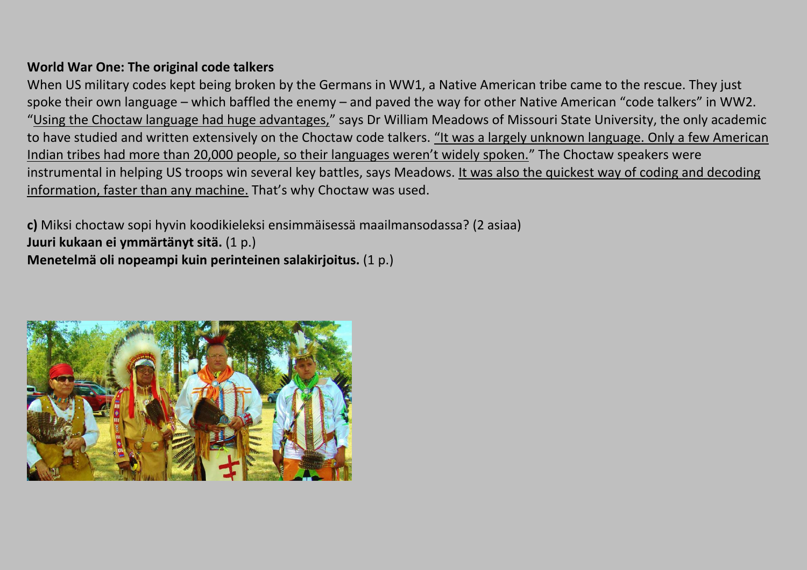#### **World War One: The original code talkers**

When US military codes kept being broken by the Germans in WW1, a Native American tribe came to the rescue. They just spoke their own language – which baffled the enemy – and paved the way for other Native American "code talkers" in WW2. "Using the Choctaw language had huge advantages," says Dr William Meadows of Missouri State University, the only academic to have studied and written extensively on the Choctaw code talkers. "It was a largely unknown language. Only a few American Indian tribes had more than 20,000 people, so their languages weren't widely spoken." The Choctaw speakers were instrumental in helping US troops win several key battles, says Meadows. It was also the quickest way of coding and decoding information, faster than any machine. That's why Choctaw was used.

**c)** Miksi choctaw sopi hyvin koodikieleksi ensimmäisessä maailmansodassa? (2 asiaa) **Juuri kukaan ei ymmärtänyt sitä.** (1 p.) **Menetelmä oli nopeampi kuin perinteinen salakirjoitus.** (1 p.)

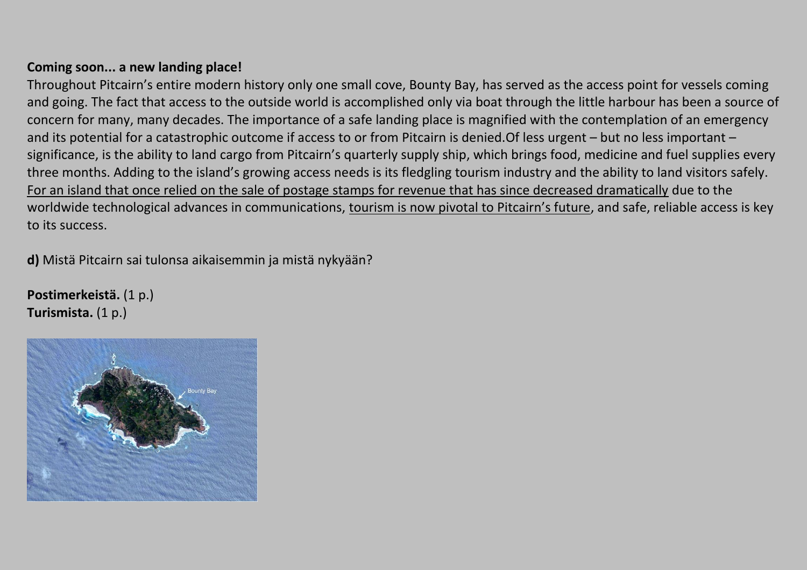#### **Coming soon... a new landing place!**

Throughout Pitcairn's entire modern history only one small cove, Bounty Bay, has served as the access point for vessels coming and going. The fact that access to the outside world is accomplished only via boat through the little harbour has been a source of concern for many, many decades. The importance of a safe landing place is magnified with the contemplation of an emergency and its potential for a catastrophic outcome if access to or from Pitcairn is denied.Of less urgent – but no less important – significance, is the ability to land cargo from Pitcairn's quarterly supply ship, which brings food, medicine and fuel supplies every three months. Adding to the island's growing access needs is its fledgling tourism industry and the ability to land visitors safely. For an island that once relied on the sale of postage stamps for revenue that has since decreased dramatically due to the worldwide technological advances in communications, tourism is now pivotal to Pitcairn's future, and safe, reliable access is key to its success.

**d)** Mistä Pitcairn sai tulonsa aikaisemmin ja mistä nykyään?

**Postimerkeistä.** (1 p.) **Turismista.** (1 p.)